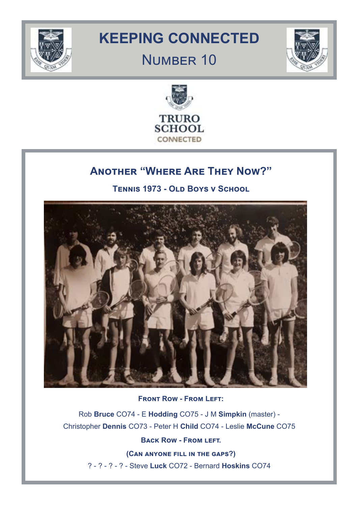

# **KEEPING CONNECTED**

## Number 10





## **Another "Where Are They Now?"**

**Tennis 1973 - Old Boys v School**



**Front Row - From Left:**

Rob **Bruce** CO74 - E **Hodding** CO75 - J M **Simpkin** (master) - Christopher **Dennis** CO73 - Peter H **Child** CO74 - Leslie **McCune** CO75

**Back Row - From left.** 

**(Can anyone fill in the gaps?)** ? - ? - ? - ? - Steve **Luck** CO72 - Bernard **Hoskins** CO74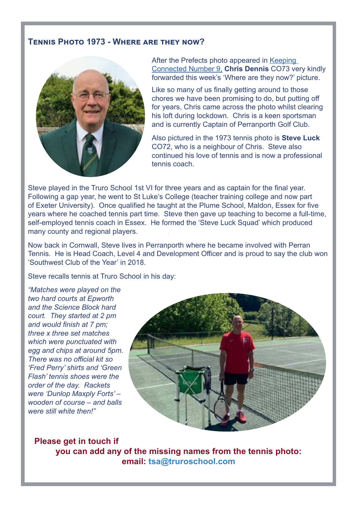## **Tennis Photo 1973 - Where are they now?**



After the Prefects photo appeared in [Keeping](https://www.truroschool.com/wp-content/uploads/2020/06/Keeping-Connected-9.pdf,)  [Connected Number 9,](https://www.truroschool.com/wp-content/uploads/2020/06/Keeping-Connected-9.pdf,) **Chris Dennis** CO73 very kindly forwarded this week's 'Where are they now?' picture.

Like so many of us finally getting around to those chores we have been promising to do, but putting off for years, Chris came across the photo whilst clearing his loft during lockdown. Chris is a keen sportsman and is currently Captain of Perranporth Golf Club.

Also pictured in the 1973 tennis photo is **Steve Luck** CO72, who is a neighbour of Chris. Steve also continued his love of tennis and is now a professional tennis coach.

Steve played in the Truro School 1st VI for three years and as captain for the final year. Following a gap year, he went to St Luke's College (teacher training college and now part of Exeter University). Once qualified he taught at the Plume School, Maldon, Essex for five years where he coached tennis part time. Steve then gave up teaching to become a full-time, self-employed tennis coach in Essex. He formed the 'Steve Luck Squad' which produced many county and regional players.

Now back in Cornwall, Steve lives in Perranporth where he became involved with Perran Tennis. He is Head Coach, Level 4 and Development Officer and is proud to say the club won 'Southwest Club of the Year' in 2018.

Steve recalls tennis at Truro School in his day:

*"Matches were played on the two hard courts at Epworth and the Science Block hard court. They started at 2 pm and would finish at 7 pm; three x three set matches which were punctuated with egg and chips at around 5pm. There was no official kit so 'Fred Perry' shirts and 'Green Flash' tennis shoes were the order of the day. Rackets were 'Dunlop Maxply Forts' – wooden of course – and balls were still white then!"* 



**Please get in touch if you can add any of the missing names from the tennis photo: email: tsa@truroschool.com**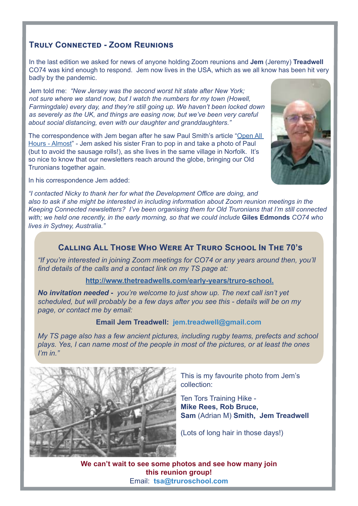## **Truly Connected - Zoom Reunions**

In the last edition we asked for news of anyone holding Zoom reunions and **Jem** (Jeremy) **Treadwell**  CO74 was kind enough to respond. Jem now lives in the USA, which as we all know has been hit very badly by the pandemic.

Jem told me: *"New Jersey was the second worst hit state after New York; not sure where we stand now, but I watch the numbers for my town (Howell, Farmingdale) every day, and they're still going up. We haven't been locked down as severely as the UK, and things are easing now, but we've been very careful about social distancing, even with our daughter and granddaughters."*

The correspondence with Jem began after he saw Paul Smith's article ["Open All](https://www.truroschool.com/wp-content/uploads/2020/05/Keeping-Connected-8.pdf)  [Hours - Almost](https://www.truroschool.com/wp-content/uploads/2020/05/Keeping-Connected-8.pdf)" - Jem asked his sister Fran to pop in and take a photo of Paul (but to avoid the sausage rolls!), as she lives in the same village in Norfolk. It's so nice to know that our newsletters reach around the globe, bringing our Old Truronians together again.



In his correspondence Jem added:

*"I contacted Nicky to thank her for what the Development Office are doing, and also to ask if she might be interested in including information about Zoom reunion meetings in the Keeping Connected newsletters? I've been organising them for Old Truronians that I'm still connected with; we held one recently, in the early morning, so that we could include* **Giles Edmonds** *CO74 who lives in Sydney, Australia."*

## **Calling All Those Who Were At Truro School In The 70's**

*"If you're interested in joining Zoom meetings for CO74 or any years around then, you'll find details of the calls and a contact link on my TS page at:*

#### **<http://www.thetreadwells.com/early-years/truro-school.>**

*No invitation needed* **-** *you're welcome to just show up. The next call isn't yet scheduled, but will probably be a few days after you see this - details will be on my page, or contact me by email:*

#### **Email Jem Treadwell: jem.treadwell@gmail.com**

*My TS page also has a few ancient pictures, including rugby teams, prefects and school plays. Yes, I can name most of the people in most of the pictures, or at least the ones I'm in."*



This is my favourite photo from Jem's collection:

Ten Tors Training Hike - **Mike Rees, Rob Bruce, Sam** (Adrian M) **Smith, Jem Treadwell** 

(Lots of long hair in those days!)

**We can't wait to see some photos and see how many join this reunion group!** Email: **tsa@truroschool.com**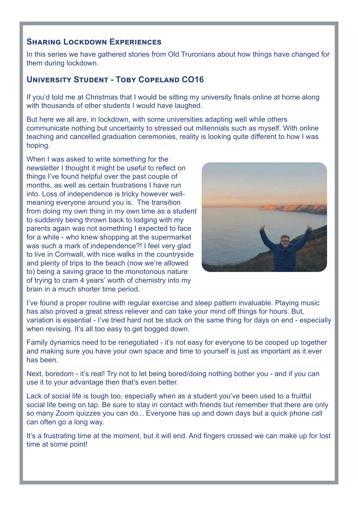## **Sharing Lockdown Experiences**

In this series we have gathered stories from Old Truronians about how things have changed for them during lockdown.

## **University Student - Toby Copeland CO16**

If you'd told me at Christmas that I would be sitting my university finals online at home along with thousands of other students I would have laughed.

But here we all are, in lockdown, with some universities adapting well while others communicate nothing but uncertainty to stressed out millennials such as myself. With online teaching and cancelled graduation ceremonies, reality is looking quite different to how I was hoping.

When I was asked to write something for the newsletter I thought it might be useful to reflect on things I've found helpful over the past couple of months, as well as certain frustrations I have run into. Loss of independence is tricky however wellmeaning everyone around you is. The transition from doing my own thing in my own time as a student to suddenly being thrown back to lodging with my parents again was not something I expected to face for a while - who knew shopping at the supermarket was such a mark of independence?! I feel very glad to live in Cornwall, with nice walks in the countryside and plenty of trips to the beach (now we're allowed to) being a saving grace to the monotonous nature of trying to cram 4 years' worth of chemistry into my brain in a much shorter time period.



I've found a proper routine with regular exercise and sleep pattern invaluable. Playing music has also proved a great stress reliever and can take your mind off things for hours. But, variation is essential - I've tried hard not be stuck on the same thing for days on end - especially when revising. It's all too easy to get bogged down.

Family dynamics need to be renegotiated - it's not easy for everyone to be cooped up together and making sure you have your own space and time to yourself is just as important as it ever has been.

Next, boredom - it's real! Try not to let being bored/doing nothing bother you - and if you can use it to your advantage then that's even better.

Lack of social life is tough too, especially when as a student you've been used to a fruitful social life being on tap. Be sure to stay in contact with friends but remember that there are only so many Zoom quizzes you can do... Everyone has up and down days but a quick phone call can often go a long way.

It's a frustrating time at the moment, but it will end. And fingers crossed we can make up for lost time at some point!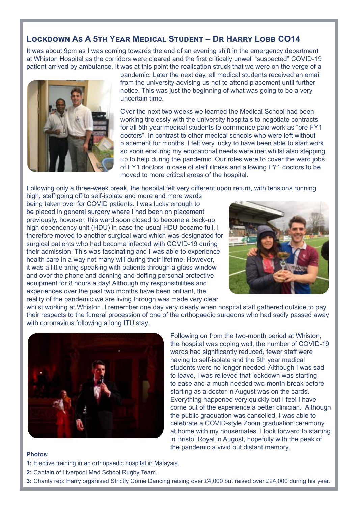## **Lockdown As A 5th Year Medical Student – Dr Harry Lobb CO14**

It was about 9pm as I was coming towards the end of an evening shift in the emergency department at Whiston Hospital as the corridors were cleared and the first critically unwell "suspected" COVID-19 patient arrived by ambulance. It was at this point the realisation struck that we were on the verge of a



pandemic. Later the next day, all medical students received an email from the university advising us not to attend placement until further notice. This was just the beginning of what was going to be a very uncertain time.

Over the next two weeks we learned the Medical School had been working tirelessly with the university hospitals to negotiate contracts for all 5th year medical students to commence paid work as "pre-FY1 doctors". In contrast to other medical schools who were left without placement for months, I felt very lucky to have been able to start work so soon ensuring my educational needs were met whilst also stepping up to help during the pandemic. Our roles were to cover the ward jobs of FY1 doctors in case of staff illness and allowing FY1 doctors to be moved to more critical areas of the hospital.

Following only a three-week break, the hospital felt very different upon return, with tensions running

high, staff going off to self-isolate and more and more wards being taken over for COVID patients. I was lucky enough to be placed in general surgery where I had been on placement previously, however, this ward soon closed to become a back-up high dependency unit (HDU) in case the usual HDU became full. I therefore moved to another surgical ward which was designated for surgical patients who had become infected with COVID-19 during their admission. This was fascinating and I was able to experience health care in a way not many will during their lifetime. However, it was a little tiring speaking with patients through a glass window and over the phone and donning and doffing personal protective equipment for 8 hours a day! Although my responsibilities and experiences over the past two months have been brilliant, the reality of the pandemic we are living through was made very clear



whilst working at Whiston. I remember one day very clearly when hospital staff gathered outside to pay their respects to the funeral procession of one of the orthopaedic surgeons who had sadly passed away with coronavirus following a long ITU stay.



Following on from the two-month period at Whiston, the hospital was coping well, the number of COVID-19 wards had significantly reduced, fewer staff were having to self-isolate and the 5th year medical students were no longer needed. Although I was sad to leave, I was relieved that lockdown was starting to ease and a much needed two-month break before starting as a doctor in August was on the cards. Everything happened very quickly but I feel I have come out of the experience a better clinician. Although the public graduation was cancelled, I was able to celebrate a COVID-style Zoom graduation ceremony at home with my housemates. I look forward to starting in Bristol Royal in August, hopefully with the peak of the pandemic a vivid but distant memory.

#### **Photos:**

- **1:** Elective training in an orthopaedic hospital in Malaysia.
- **2:** Captain of Liverpool Med School Rugby Team.
- **3:** Charity rep: Harry organised Strictly Come Dancing raising over £4,000 but raised over £24,000 during his year.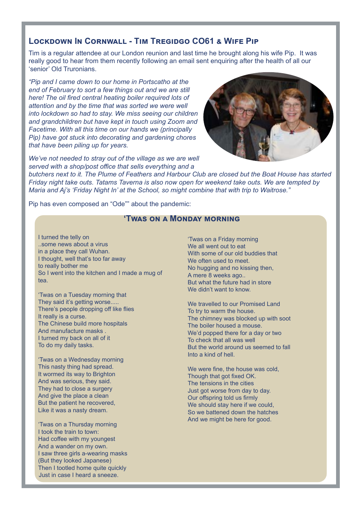## **Lockdown In Cornwall - Tim Tregidgo CO61 & Wife Pip**

Tim is a regular attendee at our London reunion and last time he brought along his wife Pip. It was really good to hear from them recently following an email sent enquiring after the health of all our 'senior' Old Truronians.

*"Pip and I came down to our home in Portscatho at the end of February to sort a few things out and we are still here! The oil fired central heating boiler required lots of attention and by the time that was sorted we were well into lockdown so had to stay. We miss seeing our children and grandchildren but have kept in touch using Zoom and Facetime. With all this time on our hands we (principally Pip) have got stuck into decorating and gardening chores that have been piling up for years.* 

*We've not needed to stray out of the village as we are well served with a shop/post office that sells everything and a* 



*butchers next to it. The Plume of Feathers and Harbour Club are closed but the Boat House has started Friday night take outs. Tatams Taverna is also now open for weekend take outs. We are tempted by Maria and Aj's 'Friday Night In' at the School, so might combine that with trip to Waitrose."*

Pip has even composed an "Ode"" about the pandemic:

#### **'Twas on a Monday morning**

I turned the telly on ..some news about a virus in a place they call Wuhan. I thought, well that's too far away to really bother me So I went into the kitchen and I made a mug of tea.

'Twas on a Tuesday morning that They said it's getting worse..... There's people dropping off like flies It really is a curse. The Chinese build more hospitals And manufacture masks . I turned my back on all of it To do my daily tasks.

'Twas on a Wednesday morning This nasty thing had spread. It wormed its way to Brighton And was serious, they said. They had to close a surgery And give the place a clean But the patient he recovered, Like it was a nasty dream.

'Twas on a Thursday morning I took the train to town: Had coffee with my youngest And a wander on my own. I saw three girls a-wearing masks (But they looked Japanese) Then I tootled home quite quickly Just in case I heard a sneeze.

'Twas on a Friday morning We all went out to eat With some of our old buddies that We often used to meet. No hugging and no kissing then, A mere 8 weeks ago.. But what the future had in store We didn't want to know

We travelled to our Promised Land To try to warm the house. The chimney was blocked up with soot The boiler housed a mouse. We'd popped there for a day or two To check that all was well But the world around us seemed to fall Into a kind of hell.

We were fine, the house was cold, Though that got fixed OK. The tensions in the cities Just got worse from day to day. Our offspring told us firmly We should stay here if we could. So we battened down the hatches And we might be here for good.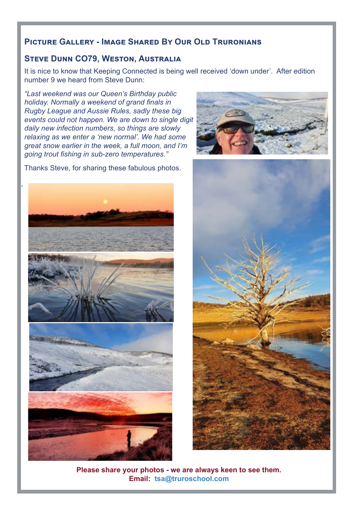## **Picture Gallery - Image Shared By Our Old Truronians**

## **Steve Dunn CO79, Weston, Australia**

It is nice to know that Keeping Connected is being well received 'down under'. After edition number 9 we heard from Steve Dunn:

*"Last weekend was our Queen's Birthday public holiday. Normally a weekend of grand finals in Rugby League and Aussie Rules, sadly these big events could not happen. We are down to single digit daily new infection numbers, so things are slowly relaxing as we enter a 'new normal'. We had some great snow earlier in the week, a full moon, and I'm going trout fishing in sub-zero temperatures."*

Thanks Steve, for sharing these fabulous photos.







**Please share your photos - we are always keen to see them. Email: tsa@truroschool.com**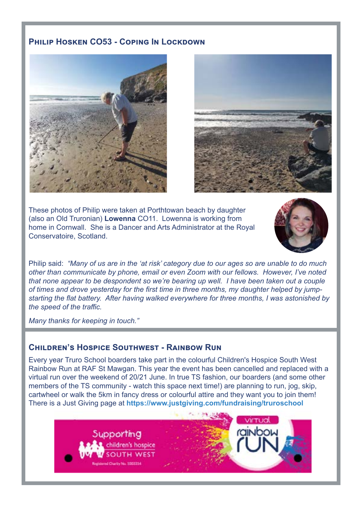## **PHILIP HOSKEN CO53 - COPING IN LOCKDOWN**





These photos of Philip were taken at Porthtowan beach by daughter (also an Old Truronian) **Lowenna** CO11. Lowenna is working from home in Cornwall. She is a Dancer and Arts Administrator at the Royal Conservatoire, Scotland.



Philip said: *"Many of us are in the 'at risk' category due to our ages so are unable to do much other than communicate by phone, email or even Zoom with our fellows. However, I've noted that none appear to be despondent so we're bearing up well. I have been taken out a couple of times and drove yesterday for the first time in three months, my daughter helped by jumpstarting the flat battery. After having walked everywhere for three months, I was astonished by the speed of the traffic.* 

*Many thanks for keeping in touch."*

## **Children's Hospice Southwest - Rainbow Run**

Every year Truro School boarders take part in the colourful Children's Hospice South West Rainbow Run at RAF St Mawgan. This year the event has been cancelled and replaced with a virtual run over the weekend of 20/21 June. In true TS fashion, our boarders (and some other members of the TS community - watch this space next time!) are planning to run, jog, skip, cartwheel or walk the 5km in fancy dress or colourful attire and they want you to join them! There is a Just Giving page at **https://www.justgiving.com/fundraising/truroschool** 

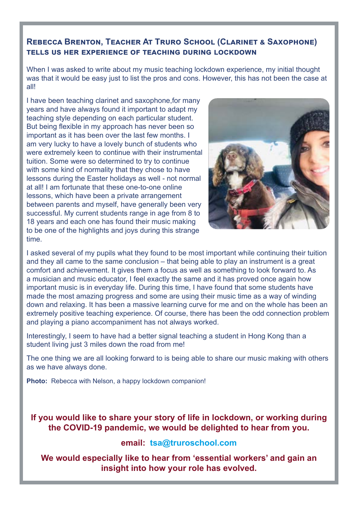## **Rebecca Brenton, Teacher At Truro School (Clarinet & Saxophone) tells us her experience of teaching during lockdown**

When I was asked to write about my music teaching lockdown experience, my initial thought was that it would be easy just to list the pros and cons. However, this has not been the case at all!

I have been teaching clarinet and saxophone,for many years and have always found it important to adapt my teaching style depending on each particular student. But being flexible in my approach has never been so important as it has been over the last few months. I am very lucky to have a lovely bunch of students who were extremely keen to continue with their instrumental tuition. Some were so determined to try to continue with some kind of normality that they chose to have lessons during the Easter holidays as well - not normal at all! I am fortunate that these one-to-one online lessons, which have been a private arrangement between parents and myself, have generally been very successful. My current students range in age from 8 to 18 years and each one has found their music making to be one of the highlights and joys during this strange time.



I asked several of my pupils what they found to be most important while continuing their tuition and they all came to the same conclusion – that being able to play an instrument is a great comfort and achievement. It gives them a focus as well as something to look forward to. As a musician and music educator, I feel exactly the same and it has proved once again how important music is in everyday life. During this time, I have found that some students have made the most amazing progress and some are using their music time as a way of winding down and relaxing. It has been a massive learning curve for me and on the whole has been an extremely positive teaching experience. Of course, there has been the odd connection problem and playing a piano accompaniment has not always worked.

Interestingly, I seem to have had a better signal teaching a student in Hong Kong than a student living just 3 miles down the road from me!

The one thing we are all looking forward to is being able to share our music making with others as we have always done.

**Photo:** Rebecca with Nelson, a happy lockdown companion!

**If you would like to share your story of life in lockdown, or working during the COVID-19 pandemic, we would be delighted to hear from you.**

## **email: tsa@truroschool.com**

**We would especially like to hear from 'essential workers' and gain an insight into how your role has evolved.**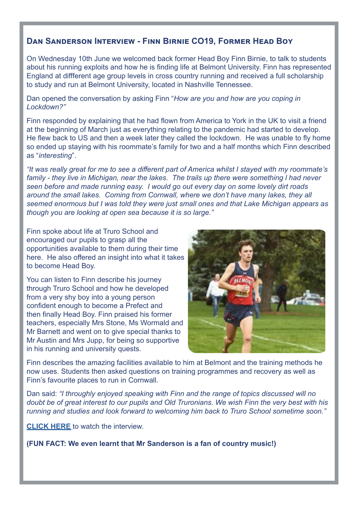## **Dan Sanderson Interview - Finn Birnie CO19, Former Head Boy**

On Wednesday 10th June we welcomed back former Head Boy Finn Birnie, to talk to students about his running exploits and how he is finding life at Belmont University. Finn has represented England at diffferent age group levels in cross country running and received a full scholarship to study and run at Belmont University, located in Nashville Tennessee.

Dan opened the conversation by asking Finn "*How are you and how are you coping in Lockdown?"* 

Finn responded by explaining that he had flown from America to York in the UK to visit a friend at the beginning of March just as everything relating to the pandemic had started to develop. He flew back to US and then a week later they called the lockdown. He was unable to fly home so ended up staying with his roommate's family for two and a half months which Finn described as "*interesting*".

*"It was really great for me to see a different part of America whilst I stayed with my roommate's family - they live in Michigan, near the lakes. The trails up there were something l had never seen before and made running easy. I would go out every day on some lovely dirt roads around the small lakes. Coming from Cornwall, where we don't have many lakes, they all seemed enormous but I was told they were just small ones and that Lake Michigan appears as though you are looking at open sea because it is so large."*

Finn spoke about life at Truro School and encouraged our pupils to grasp all the opportunities available to them during their time here. He also offered an insight into what it takes to become Head Boy.

You can listen to Finn describe his journey through Truro School and how he developed from a very shy boy into a young person confident enough to become a Prefect and then finally Head Boy. Finn praised his former teachers, especially Mrs Stone, Ms Wormald and Mr Barnett and went on to give special thanks to Mr Austin and Mrs Jupp, for being so supportive in his running and university quests.



Finn describes the amazing facilities available to him at Belmont and the training methods he now uses. Students then asked questions on training programmes and recovery as well as Finn's favourite places to run in Cornwall.

Dan said: *"I throughly enjoyed speaking with Finn and the range of topics discussed will no doubt be of great interest to our pupils and Old Truronians. We wish Finn the very best with his running and studies and look forward to welcoming him back to Truro School sometime soon."*

**[CLICK HERE](https://truroschool-my.sharepoint.com/personal/djs_truroschool_com/_layouts/15/onedrive.aspx?id=%2Fpersonal%2Fdjs%5Ftruroschool%5Fcom%2FDocuments%2FSports%20interview%2FFinn%20Birnie%2Emp4&originalPath=aHR0cHM6Ly90cnVyb3NjaG9vbC1teS5zaGFyZXBvaW50LmNvbS86ZjovcC9kanMvRWxReXJ3T0U0OUJGaWE0b3o4NU1FNjhCajg1OW9RRldwbWFzTUpUbVRINE1MUT9ydGltZT1sUnRWMmNJUzJFZw&parent=%2Fpersonal%2Fdjs%5Ftruroschool%5Fcom%2FDocuments%2FSports%20interview)** to watch the interview.

**(FUN FACT: We even learnt that Mr Sanderson is a fan of country music!)**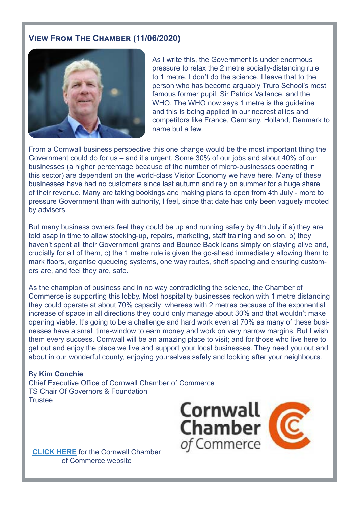## **View From The Chamber (11/06/2020)**



As I write this, the Government is under enormous pressure to relax the 2 metre socially-distancing rule to 1 metre. I don't do the science. I leave that to the person who has become arguably Truro School's most famous former pupil, Sir Patrick Vallance, and the WHO. The WHO now says 1 metre is the quideline and this is being applied in our nearest allies and competitors like France, Germany, Holland, Denmark to name but a few.

From a Cornwall business perspective this one change would be the most important thing the Government could do for us – and it's urgent. Some 30% of our jobs and about 40% of our businesses (a higher percentage because of the number of micro-businesses operating in this sector) are dependent on the world-class Visitor Economy we have here. Many of these businesses have had no customers since last autumn and rely on summer for a huge share of their revenue. Many are taking bookings and making plans to open from 4th July - more to pressure Government than with authority, I feel, since that date has only been vaguely mooted by advisers.

But many business owners feel they could be up and running safely by 4th July if a) they are told asap in time to allow stocking-up, repairs, marketing, staff training and so on, b) they haven't spent all their Government grants and Bounce Back loans simply on staying alive and, crucially for all of them, c) the 1 metre rule is given the go-ahead immediately allowing them to mark floors, organise queueing systems, one way routes, shelf spacing and ensuring customers are, and feel they are, safe.

As the champion of business and in no way contradicting the science, the Chamber of Commerce is supporting this lobby. Most hospitality businesses reckon with 1 metre distancing they could operate at about 70% capacity; whereas with 2 metres because of the exponential increase of space in all directions they could only manage about 30% and that wouldn't make opening viable. It's going to be a challenge and hard work even at 70% as many of these businesses have a small time-window to earn money and work on very narrow margins. But I wish them every success. Cornwall will be an amazing place to visit; and for those who live here to get out and enjoy the place we live and support your local businesses. They need you out and about in our wonderful county, enjoying yourselves safely and looking after your neighbours.

#### By **Kim Conchie**

Chief Executive Office of Cornwall Chamber of Commerce TS Chair Of Governors & Foundation **Trustee** 



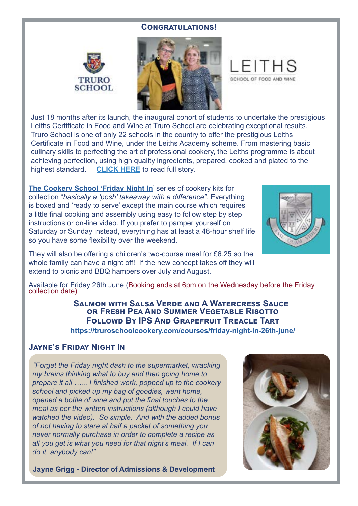#### **Congratulations!**





SCHOOL OF FOOD AND WINE

Just 18 months after its launch, the inaugural cohort of students to undertake the prestigious Leiths Certificate in Food and Wine at Truro School are celebrating exceptional results. Truro School is one of only 22 schools in the country to offer the prestigious Leiths Certificate in Food and Wine, under the Leiths Academy scheme. From mastering basic culinary skills to perfecting the art of professional cookery, the Leiths programme is about achieving perfection, using high quality ingredients, prepared, cooked and plated to the highest standard. **[CLICK HERE](https://www.truroschool.com/latest-news/exceptional-leiths-certificate-results/)** to read full story.

**The Cookery School ['Friday Night In](https://truroschoolcookery.com/cookery-courses-cornwall/)**' series of cookery kits for collection "*basically a 'posh' takeaway with a difference"*. Everything is boxed and 'ready to serve' except the main course which requires a little final cooking and assembly using easy to follow step by step instructions or on-line video. If you prefer to pamper yourself on Saturday or Sunday instead, everything has at least a 48-hour shelf life so you have some flexibility over the weekend.



They will also be offering a children's two-course meal for £6.25 so the whole family can have a night off! If the new concept takes off they will extend to picnic and BBQ hampers over July and August.

Available for Friday 26th June (Booking ends at 6pm on the Wednesday before the Friday collection date)

**Salmon with Salsa Verde and A Watercress Sauce or Fresh Pea And Summer Vegetable Risotto Followd By IPS And Grapefruit Treacle Tart <https://truroschoolcookery.com/courses/friday-night-in-26th-june/>**

## **[Jayne's Friday Night In](http://Jayne’s Friday Night In)**

*"Forget the Friday night dash to the supermarket, wracking my brains thinking what to buy and then going home to prepare it all …... I finished work, popped up to the cookery school and picked up my bag of goodies, went home, opened a bottle of wine and put the final touches to the meal as per the written instructions (although I could have watched the video). So simple. And with the added bonus of not having to stare at half a packet of something you never normally purchase in order to complete a recipe as all you get is what you need for that night's meal. If I can do it, anybody can!"*

**Jayne Grigg - Director of Admissions & Development**

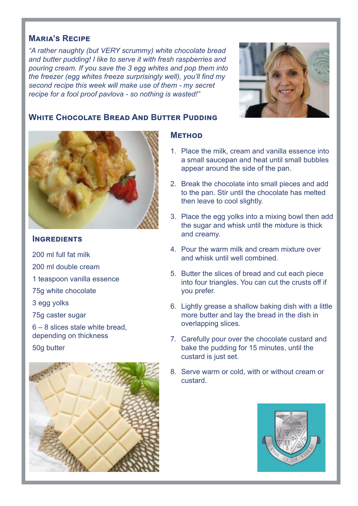## **Maria's Recipe**

*"A rather naughty (but VERY scrummy) white chocolate bread and butter pudding! I like to serve it with fresh raspberries and pouring cream. If you save the 3 egg whites and pop them into the freezer (egg whites freeze surprisingly well), you'll find my second recipe this week will make use of them - my secret recipe for a fool proof pavlova - so nothing is wasted!"*



## **White Chocolate Bread And Butter Pudding**



### **INGREDIENTS**

200 ml full fat milk 200 ml double cream 1 teaspoon vanilla essence 75g white chocolate 3 egg yolks 75g caster sugar 6 – 8 slices stale white bread,

depending on thickness

50g butter



## **Method**

- 1. Place the milk, cream and vanilla essence into a small saucepan and heat until small bubbles appear around the side of the pan.
- 2. Break the chocolate into small pieces and add to the pan. Stir until the chocolate has melted then leave to cool slightly.
- 3. Place the egg yolks into a mixing bowl then add the sugar and whisk until the mixture is thick and creamy.
- 4. Pour the warm milk and cream mixture over and whisk until well combined.
- 5. Butter the slices of bread and cut each piece into four triangles. You can cut the crusts off if you prefer.
- 6. Lightly grease a shallow baking dish with a little more butter and lay the bread in the dish in overlapping slices.
- 7. Carefully pour over the chocolate custard and bake the pudding for 15 minutes, until the custard is just set.
- 8. Serve warm or cold, with or without cream or custard.

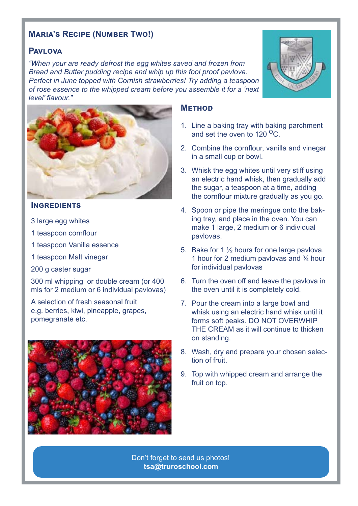## **Maria's Recipe (Number Two!)**

## **Pavlova**

*"When your are ready defrost the egg whites saved and frozen from Bread and Butter pudding recipe and whip up this fool proof pavlova. Perfect in June topped with Cornish strawberries! Try adding a teaspoon of rose essence to the whipped cream before you assemble it for a 'next level' flavour."*



#### **Ingredients**

- 3 large egg whites
- 1 teaspoon cornflour
- 1 teaspoon Vanilla essence
- 1 teaspoon Malt vinegar
- 200 g caster sugar

300 ml whipping or double cream (or 400 mls for 2 medium or 6 individual pavlovas)

A selection of fresh seasonal fruit e.g. berries, kiwi, pineapple, grapes, pomegranate etc.



#### **Method**

- 1. Line a baking tray with baking parchment and set the oven to 120  $^{\circ}$ C.
- 2. Combine the cornflour, vanilla and vinegar in a small cup or bowl.
- 3. Whisk the egg whites until very stiff using an electric hand whisk, then gradually add the sugar, a teaspoon at a time, adding the cornflour mixture gradually as you go.
- 4. Spoon or pipe the meringue onto the baking tray, and place in the oven. You can make 1 large, 2 medium or 6 individual pavlovas.
- 5. Bake for 1 ½ hours for one large pavlova, 1 hour for 2 medium pavlovas and  $\frac{3}{4}$  hour for individual pavlovas
- 6. Turn the oven off and leave the pavlova in the oven until it is completely cold.
- 7. Pour the cream into a large bowl and whisk using an electric hand whisk until it forms soft peaks. DO NOT OVERWHIP THE CREAM as it will continue to thicken on standing.
- 8. Wash, dry and prepare your chosen selection of fruit.
- 9. Top with whipped cream and arrange the fruit on top.

Don't forget to send us photos! **tsa@truroschool.com** 

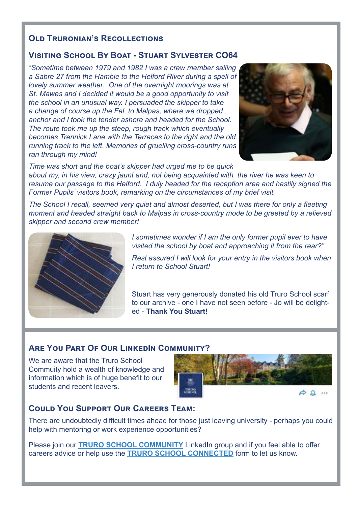## **OLD TRURONIAN'S RECOLLECTIONS**

## **Visiting School By Boat - Stuart Sylvester CO64**

"*Sometime between 1979 and 1982 I was a crew member sailing a Sabre 27 from the Hamble to the Helford River during a spell of lovely summer weather. One of the overnight moorings was at St. Mawes and I decided it would be a good opportunity to visit the school in an unusual way. I persuaded the skipper to take a change of course up the Fal to Malpas, where we dropped anchor and I took the tender ashore and headed for the School. The route took me up the steep, rough track which eventually becomes Trennick Lane with the Terraces to the right and the old running track to the left. Memories of gruelling cross-country runs ran through my mind!*



*Time was short and the boat's skipper had urged me to be quick about my, in his view, crazy jaunt and, not being acquainted with the river he was keen to resume our passage to the Helford. I duly headed for the reception area and hastily signed the Former Pupils' visitors book, remarking on the circumstances of my brief visit.*

*The School I recall, seemed very quiet and almost deserted, but I was there for only a fleeting moment and headed straight back to Malpas in cross-country mode to be greeted by a relieved skipper and second crew member!*



*I sometimes wonder if I am the only former pupil ever to have visited the school by boat and approaching it from the rear?"*

*Rest assured I will look for your entry in the visitors book when I return to School Stuart!* 

Stuart has very generously donated his old Truro School scarf to our archive - one I have not seen before - Jo will be delighted - **Thank You Stuart!**

## **ARE YOU PART OF OUR LINKEDIN COMMUNITY?**

We are aware that the Truro School Commuity hold a wealth of knowledge and information which is of huge benefit to our students and recent leavers.



## **Could You Support Our Careers Team:**

There are undoubtedly difficult times ahead for those just leaving university - perhaps you could help with mentoring or work experience opportunities?

Please join our **[TRURO SCHOOL COMMUNITY](https://www.linkedin.com/groups/8527667/)** LinkedIn group and if you feel able to offer careers advice or help use the **[TRURO SCHOOL CONNECTED](https://www.truroschool.com/alumni/truro-school-connected/)** form to let us know.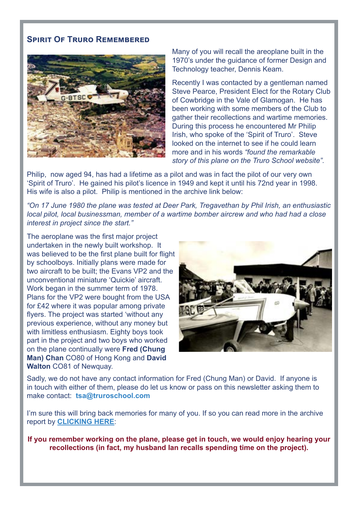## **Spirit Of Truro Remembered**



Many of you will recall the areoplane built in the 1970's under the guidance of former Design and Technology teacher, Dennis Keam.

Recently I was contacted by a gentleman named Steve Pearce, President Elect for the Rotary Club of Cowbridge in the Vale of Glamogan. He has been working with some members of the Club to gather their recollections and wartime memories. During this process he encountered Mr Philip Irish, who spoke of the 'Spirit of Truro'. Steve looked on the internet to see if he could learn more and in his words *"found the remarkable story of this plane on the Truro School website".* 

Philip, now aged 94, has had a lifetime as a pilot and was in fact the pilot of our very own 'Spirit of Truro'. He gained his pilot's licence in 1949 and kept it until his 72nd year in 1998. His wife is also a pilot. Philip is mentioned in the archive link below:

*"On 17 June 1980 the plane was tested at Deer Park, Tregavethan by Phil Irish, an enthusiastic local pilot, local businessman, member of a wartime bomber aircrew and who had had a close interest in project since the start."*

The aeroplane was the first major project undertaken in the newly built workshop. It was believed to be the first plane built for flight by schoolboys. Initially plans were made for two aircraft to be built; the Evans VP2 and the unconventional miniature 'Quickie' aircraft. Work began in the summer term of 1978. Plans for the VP2 were bought from the USA for £42 where it was popular among private flyers. The project was started 'without any previous experience, without any money but with limitless enthusiasm. Eighty boys took part in the project and two boys who worked on the plane continually were **Fred (Chung Man) Chan** CO80 of Hong Kong and **David Walton** CO81 of Newquay.



Sadly, we do not have any contact information for Fred (Chung Man) or David. If anyone is in touch with either of them, please do let us know or pass on this newsletter asking them to make contact: **tsa@truroschool.com** 

I'm sure this will bring back memories for many of you. If so you can read more in the archive report by **[CLICKING HERE](http://yesflyers.org.uk/wp-content/uploads/2014/05/Take-Flight.pdf
)**:

**If you remember working on the plane, please get in touch, we would enjoy hearing your recollections (in fact, my husband Ian recalls spending time on the project).**